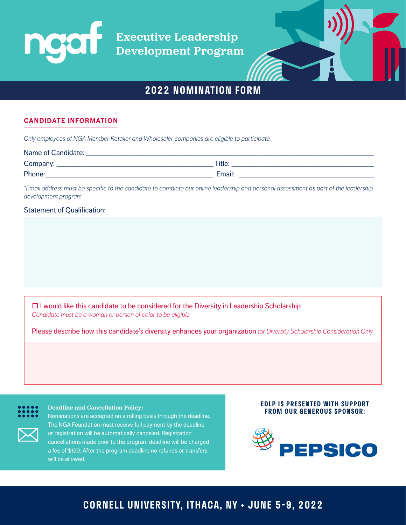Executive Leadership Development Program



# **2022 NOMINATION FORM**

### **CANDIDATE INFORMATION**

*Only employees of NGA Member Retailer and Wholesaler companies are eligible to participate.*

| Name of Candidate: |        |
|--------------------|--------|
| Company:           | Title: |
| Phone:             | Email: |

*\*Email address must be specific to the candidate to complete our online leadership and personal assessment as part of the leadership development program.*

#### Statement of Qualification:

 $\Box$  I would like this candidate to be considered for the Diversity in Leadership Scholarship *Candidate must be a woman or person of color to be eligible*

Please describe how this candidate's diversity enhances your organization *for Diversity Scholarship Consideration Only*

#### Deadline and Cancellation Policy:

Nominations are accepted on a rolling basis through the deadline. The NGA Foundation must receive full payment by the deadline or registration will be automatically canceled. Registration cancellations made prior to the program deadline will be charged a fee of \$150. After the program deadline no refunds or transfers will be allowed.

#### **EDLP IS PRESENTED WITH SUPPORT FROM OUR GENEROUS SPONSOR:**



# **CORNELL UNIVERSITY, ITHACA, NY • JUNE 5-9, 2022**